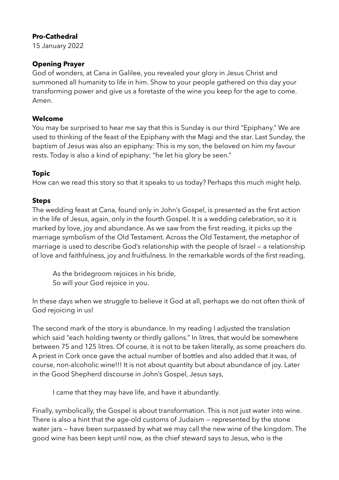# **Pro-Cathedral**

15 January 2022

# **Opening Prayer**

God of wonders, at Cana in Galilee, you revealed your glory in Jesus Christ and summoned all humanity to life in him. Show to your people gathered on this day your transforming power and give us a foretaste of the wine you keep for the age to come. Amen.

# **Welcome**

You may be surprised to hear me say that this is Sunday is our third "Epiphany." We are used to thinking of the feast of the Epiphany with the Magi and the star. Last Sunday, the baptism of Jesus was also an epiphany: This is my son, the beloved on him my favour rests. Today is also a kind of epiphany: "he let his glory be seen."

# **Topic**

How can we read this story so that it speaks to us today? Perhaps this much might help.

## **Steps**

The wedding feast at Cana, found only in John's Gospel, is presented as the first action in the life of Jesus, again, only in the fourth Gospel. It is a wedding celebration, so it is marked by love, joy and abundance. As we saw from the first reading, it picks up the marriage symbolism of the Old Testament. Across the Old Testament, the metaphor of marriage is used to describe God's relationship with the people of Israel — a relationship of love and faithfulness, joy and fruitfulness. In the remarkable words of the first reading,

As the bridegroom rejoices in his bride, So will your God rejoice in you.

In these days when we struggle to believe it God at all, perhaps we do not often think of God rejoicing in us!

The second mark of the story is abundance. In my reading I adjusted the translation which said "each holding twenty or thirdly gallons." In litres, that would be somewhere between 75 and 125 litres. Of course, it is not to be taken literally, as some preachers do. A priest in Cork once gave the actual number of bottles and also added that it was, of course, non-alcoholic wine!!! It is not about quantity but about abundance of joy. Later in the Good Shepherd discourse in John's Gospel, Jesus says,

I came that they may have life, and have it abundantly.

Finally, symbolically, the Gospel is about transformation. This is not just water into wine. There is also a hint that the age-old customs of Judaism — represented by the stone water jars — have been surpassed by what we may call the new wine of the kingdom. The good wine has been kept until now, as the chief steward says to Jesus, who is the